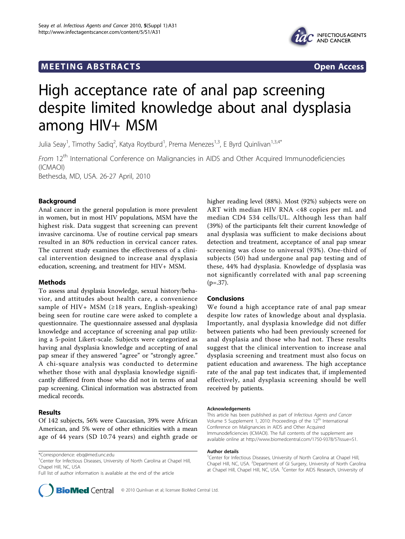# **MEETING ABSTRACTS CONSUMING ABSTRACTS**



# High acceptance rate of anal pap screening despite limited knowledge about anal dysplasia among HIV+ MSM

Julia Seay<sup>1</sup>, Timothy Sadiq<sup>2</sup>, Katya Roytburd<sup>1</sup>, Prema Menezes<sup>1,3</sup>, E Byrd Quinlivan<sup>1,3,4\*</sup>

From 12<sup>th</sup> International Conference on Malignancies in AIDS and Other Acquired Immunodeficiencies (ICMAOI)

Bethesda, MD, USA. 26-27 April, 2010

## Background

Anal cancer in the general population is more prevalent in women, but in most HIV populations, MSM have the highest risk. Data suggest that screening can prevent invasive carcinoma. Use of routine cervical pap smears resulted in an 80% reduction in cervical cancer rates. The current study examines the effectiveness of a clinical intervention designed to increase anal dysplasia education, screening, and treatment for HIV+ MSM.

#### Methods

To assess anal dysplasia knowledge, sexual history/behavior, and attitudes about health care, a convenience sample of HIV+ MSM ( $\geq$ 18 years, English-speaking) being seen for routine care were asked to complete a questionnaire. The questionnaire assessed anal dysplasia knowledge and acceptance of screening anal pap utilizing a 5-point Likert-scale. Subjects were categorized as having anal dysplasia knowledge and accepting of anal pap smear if they answered "agree" or "strongly agree." A chi-square analysis was conducted to determine whether those with anal dysplasia knowledge significantly differed from those who did not in terms of anal pap screening. Clinical information was abstracted from medical records.

#### Results

Of 142 subjects, 56% were Caucasian, 39% were African American, and 5% were of other ethnicities with a mean age of 44 years (SD 10.74 years) and eighth grade or

<sup>1</sup>Center for Infectious Diseases, University of North Carolina at Chapel Hill, Chapel Hill, NC, USA

Full list of author information is available at the end of the article

higher reading level (88%). Most (92%) subjects were on ART with median HIV RNA <48 copies per mL and median CD4 534 cells/UL. Although less than half (39%) of the participants felt their current knowledge of anal dysplasia was sufficient to make decisions about detection and treatment, acceptance of anal pap smear screening was close to universal (93%). One-third of subjects (50) had undergone anal pap testing and of these, 44% had dysplasia. Knowledge of dysplasia was not significantly correlated with anal pap screening  $(p=.37)$ .

#### Conclusions

We found a high acceptance rate of anal pap smear despite low rates of knowledge about anal dysplasia. Importantly, anal dysplasia knowledge did not differ between patients who had been previously screened for anal dysplasia and those who had not. These results suggest that the clinical intervention to increase anal dysplasia screening and treatment must also focus on patient education and awareness. The high acceptance rate of the anal pap test indicates that, if implemented effectively, anal dysplasia screening should be well received by patients.

#### Acknowledgements

This article has been published as part of Infectious Agents and Cancer Volume 5 Supplement 1, 2010: Proceedings of the 12<sup>th</sup> International Conference on Malignancies in AIDS and Other Acquired Immunodeficiencies (ICMAOI). The full contents of the supplement are available online at [http://www.biomedcentral.com/1750-9378/5?issue=S1.](http://www.biomedcentral.com/1750-9378/5?issue=S1)

#### Author details

<sup>&</sup>lt;sup>1</sup> Center for Infectious Diseases, University of North Carolina at Chapel Hill, Chapel Hill, NC, USA. <sup>2</sup>Department of GI Surgery, University of North Carolina at Chapel Hill, Chapel Hill, NC, USA. <sup>3</sup>Center for AIDS Research, University of



<sup>\*</sup>Correspondence: [ebq@med.unc.edu](mailto:ebq@med.unc.edu)